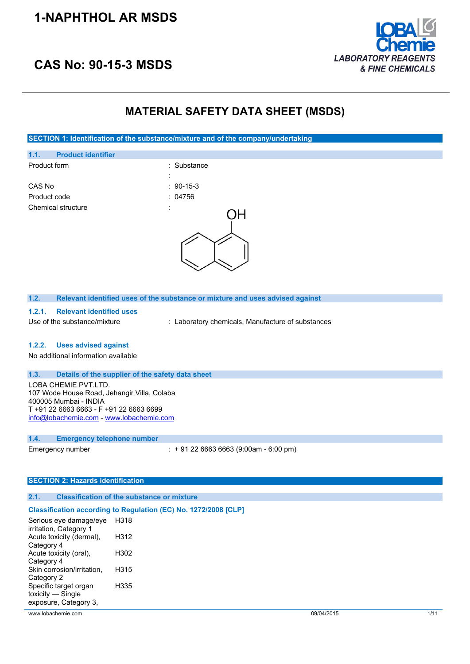## **1-NAPHTHOL AR MSDS**





## **MATERIAL SAFETY DATA SHEET (MSDS)**

**SECTION 1: Identification of the substance/mixture and of the company/undertaking**



#### **1.2. Relevant identified uses of the substance or mixture and uses advised against**

- **1.2.1. Relevant identified uses**
- 

Use of the substance/mixture : Laboratory chemicals, Manufacture of substances

#### **1.2.2. Uses advised against**

No additional information available

#### **1.3. Details of the supplier of the safety data sheet**

LOBA CHEMIE PVT.LTD. 107 Wode House Road, Jehangir Villa, Colaba 400005 Mumbai - INDIA T +91 22 6663 6663 - F +91 22 6663 6699 [info@lobachemie.com](mailto:info@lobachemie.com) - <www.lobachemie.com>

#### **1.4. Emergency telephone number**

Emergency number : + 91 22 6663 6663 (9:00am - 6:00 pm)

#### **SECTION 2: Hazards identification**

#### **2.1. Classification of the substance or mixture**

#### **Classification according to Regulation (EC) No. 1272/2008 [CLP]**

| Serious eye damage/eye     | H318 |
|----------------------------|------|
| irritation, Category 1     |      |
| Acute toxicity (dermal),   | H312 |
| Category 4                 |      |
| Acute toxicity (oral),     | H302 |
| Category 4                 |      |
| Skin corrosion/irritation, | H315 |
| Category 2                 | H335 |
| Specific target organ      |      |
| toxicity - Single          |      |
| exposure, Category 3,      |      |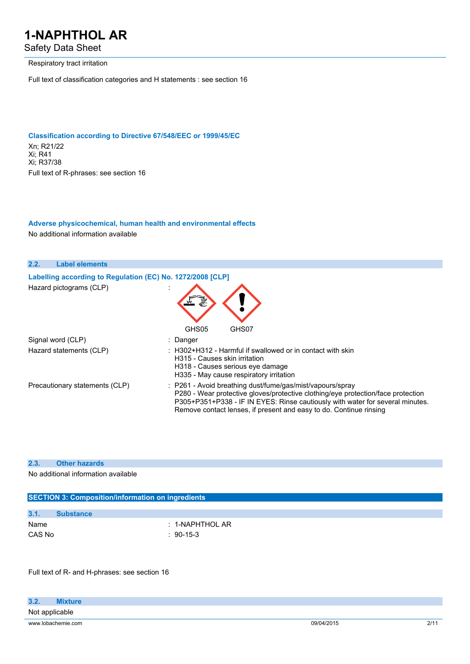Safety Data Sheet

Respiratory tract irritation

Full text of classification categories and H statements : see section 16

#### **Classification according to Directive 67/548/EEC or 1999/45/EC**

Xn; R21/22 Xi; R41 Xi; R37/38 Full text of R-phrases: see section 16

## **Adverse physicochemical, human health and environmental effects**

No additional information available



#### **2.3. Other hazards**

No additional information available

|        | <b>SECTION 3: Composition/information on ingredients</b> |                 |  |  |
|--------|----------------------------------------------------------|-----------------|--|--|
|        |                                                          |                 |  |  |
| 3.1.   | <b>Substance</b>                                         |                 |  |  |
| Name   |                                                          | : 1-NAPHTHOL AR |  |  |
| CAS No |                                                          | $: 90-15-3$     |  |  |
|        |                                                          |                 |  |  |

Full text of R- and H-phrases: see section 16

| 3.2.           | <b>Mixture</b>     |            |      |
|----------------|--------------------|------------|------|
| Not applicable |                    |            |      |
|                | www.lobachemie.com | 09/04/2015 | 2/11 |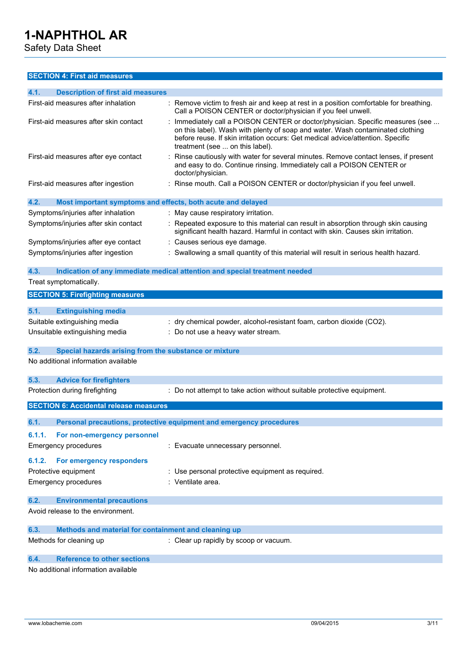Safety Data Sheet

### **SECTION 4: First aid measures**

| 4.1.                        | <b>Description of first aid measures</b>                       |                                                                                                                                                                                                                                                                                      |
|-----------------------------|----------------------------------------------------------------|--------------------------------------------------------------------------------------------------------------------------------------------------------------------------------------------------------------------------------------------------------------------------------------|
|                             | First-aid measures after inhalation                            | Remove victim to fresh air and keep at rest in a position comfortable for breathing.<br>Call a POISON CENTER or doctor/physician if you feel unwell.                                                                                                                                 |
|                             | First-aid measures after skin contact                          | Immediately call a POISON CENTER or doctor/physician. Specific measures (see<br>on this label). Wash with plenty of soap and water. Wash contaminated clothing<br>before reuse. If skin irritation occurs: Get medical advice/attention. Specific<br>treatment (see  on this label). |
|                             | First-aid measures after eye contact                           | Rinse cautiously with water for several minutes. Remove contact lenses, if present<br>and easy to do. Continue rinsing. Immediately call a POISON CENTER or<br>doctor/physician.                                                                                                     |
|                             | First-aid measures after ingestion                             | Rinse mouth. Call a POISON CENTER or doctor/physician if you feel unwell.                                                                                                                                                                                                            |
| 4.2.                        | Most important symptoms and effects, both acute and delayed    |                                                                                                                                                                                                                                                                                      |
|                             | Symptoms/injuries after inhalation                             | : May cause respiratory irritation.                                                                                                                                                                                                                                                  |
|                             | Symptoms/injuries after skin contact                           | Repeated exposure to this material can result in absorption through skin causing<br>significant health hazard. Harmful in contact with skin. Causes skin irritation.                                                                                                                 |
|                             | Symptoms/injuries after eye contact                            | Causes serious eye damage.                                                                                                                                                                                                                                                           |
|                             | Symptoms/injuries after ingestion                              | Swallowing a small quantity of this material will result in serious health hazard.                                                                                                                                                                                                   |
| 4.3.                        |                                                                | Indication of any immediate medical attention and special treatment needed                                                                                                                                                                                                           |
| Treat symptomatically.      |                                                                |                                                                                                                                                                                                                                                                                      |
|                             | <b>SECTION 5: Firefighting measures</b>                        |                                                                                                                                                                                                                                                                                      |
|                             |                                                                |                                                                                                                                                                                                                                                                                      |
| 5.1.                        | <b>Extinguishing media</b>                                     |                                                                                                                                                                                                                                                                                      |
|                             | Suitable extinguishing media<br>Unsuitable extinguishing media | : dry chemical powder, alcohol-resistant foam, carbon dioxide (CO2).<br>Do not use a heavy water stream.                                                                                                                                                                             |
| 5.2.                        | Special hazards arising from the substance or mixture          |                                                                                                                                                                                                                                                                                      |
|                             | No additional information available                            |                                                                                                                                                                                                                                                                                      |
| 5.3.                        | <b>Advice for firefighters</b>                                 |                                                                                                                                                                                                                                                                                      |
|                             | Protection during firefighting                                 | : Do not attempt to take action without suitable protective equipment.                                                                                                                                                                                                               |
|                             | <b>SECTION 6: Accidental release measures</b>                  |                                                                                                                                                                                                                                                                                      |
| 6.1.                        |                                                                | Personal precautions, protective equipment and emergency procedures                                                                                                                                                                                                                  |
| 6.1.1.                      | For non-emergency personnel                                    |                                                                                                                                                                                                                                                                                      |
| <b>Emergency procedures</b> |                                                                | Evacuate unnecessary personnel.                                                                                                                                                                                                                                                      |
| 6.1.2.                      | For emergency responders                                       |                                                                                                                                                                                                                                                                                      |
| Protective equipment        |                                                                | : Use personal protective equipment as required.                                                                                                                                                                                                                                     |
| <b>Emergency procedures</b> |                                                                | : Ventilate area.                                                                                                                                                                                                                                                                    |
| 6.2.                        | <b>Environmental precautions</b>                               |                                                                                                                                                                                                                                                                                      |
|                             | Avoid release to the environment.                              |                                                                                                                                                                                                                                                                                      |
| 6.3.                        | Methods and material for containment and cleaning up           |                                                                                                                                                                                                                                                                                      |
| Methods for cleaning up     |                                                                | : Clear up rapidly by scoop or vacuum.                                                                                                                                                                                                                                               |

## **6.4. Reference to other sections**

No additional information available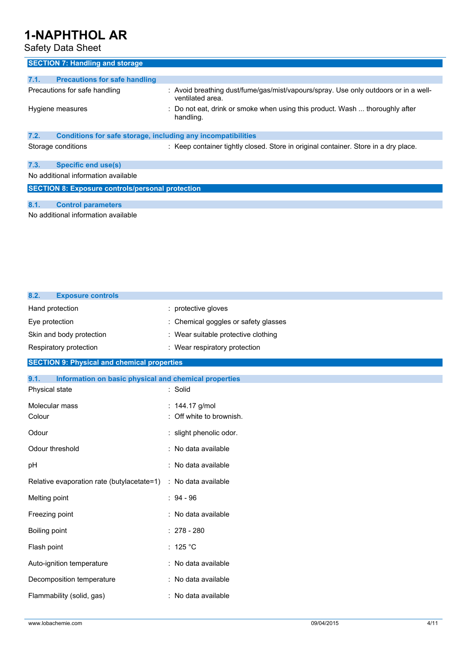## Safety Data Sheet

| <b>SECTION 7: Handling and storage</b>                               |                                                                                                         |  |  |
|----------------------------------------------------------------------|---------------------------------------------------------------------------------------------------------|--|--|
| 7.1.<br><b>Precautions for safe handling</b>                         |                                                                                                         |  |  |
| Precautions for safe handling                                        | : Avoid breathing dust/fume/gas/mist/vapours/spray. Use only outdoors or in a well-<br>ventilated area. |  |  |
| Hygiene measures                                                     | Do not eat, drink or smoke when using this product. Wash  thoroughly after<br>handling.                 |  |  |
| 7.2.<br>Conditions for safe storage, including any incompatibilities |                                                                                                         |  |  |
| Storage conditions                                                   | : Keep container tightly closed. Store in original container. Store in a dry place.                     |  |  |
| 7.3.<br><b>Specific end use(s)</b>                                   |                                                                                                         |  |  |
| No additional information available                                  |                                                                                                         |  |  |
| <b>SECTION 8: Exposure controls/personal protection</b>              |                                                                                                         |  |  |
|                                                                      |                                                                                                         |  |  |
| 8.1.<br><b>Control parameters</b>                                    |                                                                                                         |  |  |
| No additional information available                                  |                                                                                                         |  |  |

| 8.2.<br><b>Exposure controls</b>                              |                                      |
|---------------------------------------------------------------|--------------------------------------|
| Hand protection                                               | : protective gloves                  |
| Eye protection                                                | : Chemical goggles or safety glasses |
| Skin and body protection                                      | : Wear suitable protective clothing  |
| Respiratory protection                                        | : Wear respiratory protection        |
| <b>SECTION 9: Physical and chemical properties</b>            |                                      |
| 9.1.<br>Information on basic physical and chemical properties |                                      |
| Physical state                                                | : Solid                              |
| Molecular mass                                                | : 144.17 g/mol                       |
| Colour                                                        | : Off white to brownish.             |
| Odour                                                         | : slight phenolic odor.              |
| Odour threshold                                               | : No data available                  |
| pH                                                            | : No data available                  |
| Relative evaporation rate (butylacetate=1)                    | : No data available                  |
| Melting point                                                 | $: 94 - 96$                          |
| Freezing point                                                | : No data available                  |
| Boiling point                                                 | $: 278 - 280$                        |
| Flash point                                                   | : 125 °C                             |
| Auto-ignition temperature                                     | : No data available                  |
| Decomposition temperature                                     | : No data available                  |
| Flammability (solid, gas)                                     | : No data available                  |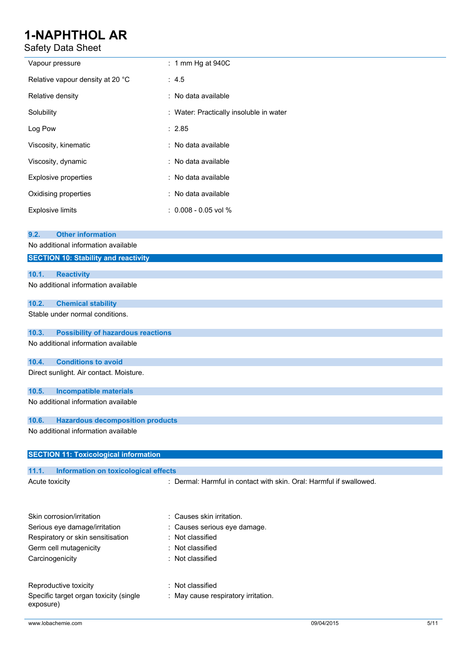Safety Data Sheet

| Vapour pressure                                                                    | $: 1$ mm Hg at 940C                                                 |
|------------------------------------------------------------------------------------|---------------------------------------------------------------------|
| Relative vapour density at 20 °C                                                   | : 4.5                                                               |
| Relative density                                                                   | : No data available                                                 |
| Solubility                                                                         | : Water: Practically insoluble in water                             |
| Log Pow                                                                            | : 2.85                                                              |
| Viscosity, kinematic                                                               | : No data available                                                 |
| Viscosity, dynamic                                                                 | : No data available                                                 |
| <b>Explosive properties</b>                                                        | : No data available                                                 |
| Oxidising properties                                                               | : No data available                                                 |
| <b>Explosive limits</b>                                                            | $: 0.008 - 0.05$ vol %                                              |
| <b>Other information</b><br>9.2.                                                   |                                                                     |
| No additional information available<br><b>SECTION 10: Stability and reactivity</b> |                                                                     |
|                                                                                    |                                                                     |
| 10.1.<br><b>Reactivity</b><br>No additional information available                  |                                                                     |
| 10.2.<br><b>Chemical stability</b>                                                 |                                                                     |
| Stable under normal conditions.                                                    |                                                                     |
| 10.3.<br><b>Possibility of hazardous reactions</b>                                 |                                                                     |
| No additional information available                                                |                                                                     |
| <b>Conditions to avoid</b><br>10.4.                                                |                                                                     |
| Direct sunlight. Air contact. Moisture.                                            |                                                                     |
| 10.5.<br><b>Incompatible materials</b>                                             |                                                                     |
| No additional information available                                                |                                                                     |
| 10.6.<br><b>Hazardous decomposition products</b>                                   |                                                                     |
| No additional information available                                                |                                                                     |
| <b>SECTION 11: Toxicological information</b>                                       |                                                                     |
| 11.1.<br>Information on toxicological effects                                      |                                                                     |
| Acute toxicity                                                                     | : Dermal: Harmful in contact with skin. Oral: Harmful if swallowed. |
| Skin corrosion/irritation                                                          | Causes skin irritation.                                             |
| Serious eye damage/irritation                                                      | Causes serious eye damage.                                          |
| Respiratory or skin sensitisation                                                  | Not classified<br>$\ddot{\phantom{0}}$                              |
| Germ cell mutagenicity                                                             | Not classified                                                      |
| Carcinogenicity                                                                    | Not classified                                                      |
| Reproductive toxicity                                                              | Not classified                                                      |
| Specific target organ toxicity (single<br>exposure)                                | : May cause respiratory irritation.                                 |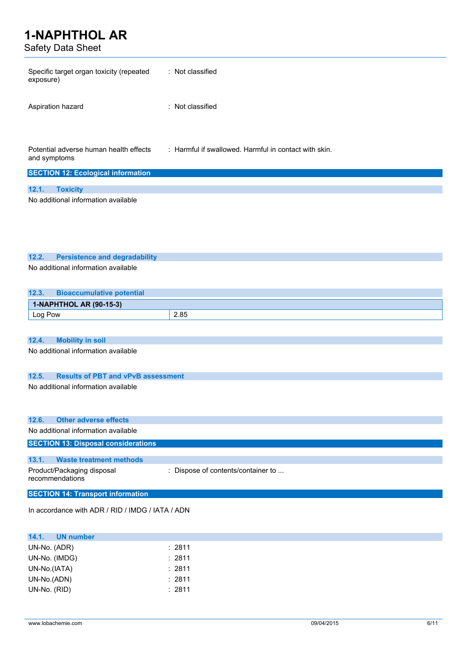Safety Data Sheet

| Safety Data Sheet                                                                         |                                                       |
|-------------------------------------------------------------------------------------------|-------------------------------------------------------|
| Specific target organ toxicity (repeated<br>exposure)                                     | : Not classified                                      |
| Aspiration hazard                                                                         | : Not classified                                      |
| Potential adverse human health effects<br>and symptoms                                    | : Harmful if swallowed. Harmful in contact with skin. |
| <b>SECTION 12: Ecological information</b>                                                 |                                                       |
| 12.1.<br><b>Toxicity</b>                                                                  |                                                       |
| No additional information available                                                       |                                                       |
|                                                                                           |                                                       |
|                                                                                           |                                                       |
|                                                                                           |                                                       |
|                                                                                           |                                                       |
| 12.2.<br><b>Persistence and degradability</b>                                             |                                                       |
| No additional information available                                                       |                                                       |
|                                                                                           |                                                       |
| 12.3.<br><b>Bioaccumulative potential</b>                                                 |                                                       |
| 1-NAPHTHOL AR (90-15-3)                                                                   |                                                       |
| Log Pow                                                                                   | 2.85                                                  |
|                                                                                           |                                                       |
| <b>Mobility in soil</b><br>12.4.                                                          |                                                       |
| No additional information available                                                       |                                                       |
|                                                                                           |                                                       |
|                                                                                           |                                                       |
| 12.5.<br><b>Results of PBT and vPvB assessment</b><br>No additional information available |                                                       |
|                                                                                           |                                                       |
|                                                                                           |                                                       |
| <b>Other adverse effects</b><br>12.6.                                                     |                                                       |
| No additional information available                                                       |                                                       |
| <b>SECTION 13: Disposal considerations</b>                                                |                                                       |
|                                                                                           |                                                       |
| 13.1.<br><b>Waste treatment methods</b>                                                   |                                                       |
| Product/Packaging disposal                                                                | : Dispose of contents/container to                    |

In accordance with ADR / RID / IMDG / IATA / ADN

**SECTION 14: Transport information**

| 14.1.<br><b>UN number</b> |        |  |
|---------------------------|--------|--|
| UN-No. (ADR)              | : 2811 |  |
| UN-No. (IMDG)             | : 2811 |  |
| UN-No.(IATA)              | : 2811 |  |
| UN-No.(ADN)               | : 2811 |  |
| UN-No. (RID)              | :2811  |  |
|                           |        |  |

recommendations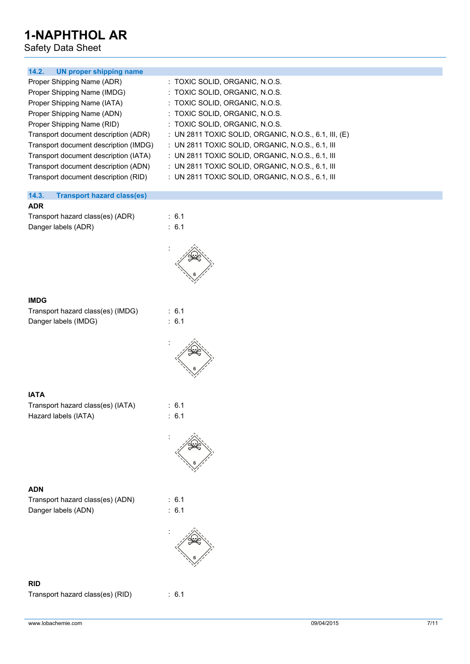Safety Data Sheet

| 14.2. UN proper shipping name              |                                                         |
|--------------------------------------------|---------------------------------------------------------|
| Proper Shipping Name (ADR)                 | : TOXIC SOLID, ORGANIC, N.O.S.                          |
| Proper Shipping Name (IMDG)                | : TOXIC SOLID, ORGANIC, N.O.S.                          |
| Proper Shipping Name (IATA)                | : TOXIC SOLID, ORGANIC, N.O.S.                          |
| Proper Shipping Name (ADN)                 | : TOXIC SOLID, ORGANIC, N.O.S.                          |
| Proper Shipping Name (RID)                 | : TOXIC SOLID, ORGANIC, N.O.S.                          |
| Transport document description (ADR)       | : UN 2811 TOXIC SOLID, ORGANIC, N.O.S., 6.1, III, $(E)$ |
| Transport document description (IMDG)      | : UN 2811 TOXIC SOLID, ORGANIC, N.O.S., 6.1, III        |
| Transport document description (IATA)      | $\pm$ UN 2811 TOXIC SOLID, ORGANIC, N.O.S., 6.1, III    |
| Transport document description (ADN)       | : UN 2811 TOXIC SOLID, ORGANIC, N.O.S., 6.1, III        |
| Transport document description (RID)       | : UN 2811 TOXIC SOLID, ORGANIC, N.O.S., 6.1, III        |
|                                            |                                                         |
| 14.3.<br><b>Transport hazard class(es)</b> |                                                         |
| ADR.                                       |                                                         |
| Transport hazard class(es) (ADR)           | $\therefore$ 6.1                                        |

| Transport hazard class(es) (ADR) |  |
|----------------------------------|--|
| Danger labels (ADR)              |  |



 $\therefore$  6.1

 $: 6.1$  $\therefore$  6.1

:

### **IMDG**

| Transport hazard class(es) (IMDG) |  |
|-----------------------------------|--|
| Danger labels (IMDG)              |  |



### **IATA**

Transport hazard class(es) (IATA) : 6.1 Hazard labels (IATA) : 6.1



### **ADN**

Transport hazard class(es) (ADN) : 6.1 Danger labels (ADN) : 6.1





### **RID**

Transport hazard class(es) (RID) : 6.1

www.lobachemie.com 09/04/2015 09/04/2015 7/11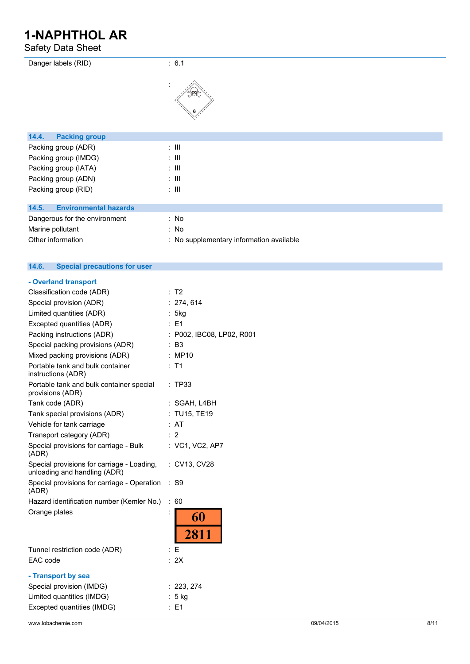Safety Data Sheet

| Danger labels (RID)                   | : 6.1                                    |
|---------------------------------------|------------------------------------------|
|                                       |                                          |
| 14.4.<br><b>Packing group</b>         |                                          |
| Packing group (ADR)                   | $\therefore$ $\mathbf{III}$              |
| Packing group (IMDG)                  | $\therefore$ III                         |
| Packing group (IATA)                  | $\therefore$ $\mathbf{III}$              |
| Packing group (ADN)                   | $\therefore$ III                         |
| Packing group (RID)                   | $\therefore$ III                         |
| <b>Environmental hazards</b><br>14.5. |                                          |
| Dangerous for the environment         | : No                                     |
| Marine pollutant                      | : No                                     |
| Other information                     | : No supplementary information available |

#### **14.6. Special precautions for user**

| - Overland transport                                                                                      |                      |                               |
|-----------------------------------------------------------------------------------------------------------|----------------------|-------------------------------|
| Classification code (ADR)                                                                                 |                      | : T2                          |
| Special provision (ADR)                                                                                   |                      | : 274, 614                    |
| Limited quantities (ADR)                                                                                  |                      | 5kg                           |
| Excepted quantities (ADR)                                                                                 |                      | $E = 1$                       |
| Packing instructions (ADR)                                                                                |                      | : P002, IBC08, LP02, R001     |
| Special packing provisions (ADR)                                                                          |                      | <b>B3</b>                     |
| Mixed packing provisions (ADR)                                                                            |                      | : MP10                        |
| Portable tank and bulk container<br>instructions (ADR)                                                    |                      | : T1                          |
| Portable tank and bulk container special<br>provisions (ADR)                                              |                      | : TP33                        |
| Tank code (ADR)                                                                                           |                      | : SGAH, L4BH                  |
| Tank special provisions (ADR)                                                                             |                      | : TU15, TE19                  |
| Vehicle for tank carriage                                                                                 |                      | : AT                          |
| Transport category (ADR)                                                                                  |                      | : 2                           |
| Special provisions for carriage - Bulk<br>(ADR)                                                           |                      | : VC1, VC2, AP7               |
| Special provisions for carriage - Loading,<br>unloading and handling (ADR)                                |                      | : CV13, CV28                  |
| Special provisions for carriage - Operation<br>(ADR)                                                      |                      | : S9                          |
| Hazard identification number (Kemler No.)                                                                 | $\ddot{\phantom{a}}$ | 60                            |
| Orange plates                                                                                             | İ                    | 60<br>2811                    |
| Tunnel restriction code (ADR)                                                                             |                      | E                             |
| EAC code                                                                                                  |                      | : 2X                          |
| - Transport by sea<br>Special provision (IMDG)<br>Limited quantities (IMDG)<br>Excepted quantities (IMDG) |                      | : 223, 274<br>5 kg<br>$E = 1$ |
|                                                                                                           |                      |                               |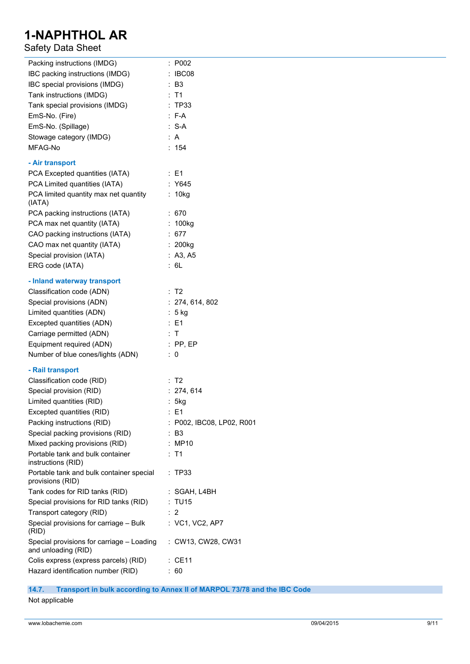## Safety Data Sheet

| Packing instructions (IMDG)                                  | : P002                    |
|--------------------------------------------------------------|---------------------------|
| IBC packing instructions (IMDG)                              | : IBC08                   |
| IBC special provisions (IMDG)                                | : B3                      |
| Tank instructions (IMDG)                                     | : T1                      |
| Tank special provisions (IMDG)                               | : TP33                    |
| EmS-No. (Fire)                                               | $: F-A$                   |
| EmS-No. (Spillage)                                           | $: S-A$                   |
| Stowage category (IMDG)                                      | : A                       |
| MFAG-No                                                      | : 154                     |
|                                                              |                           |
| - Air transport                                              |                           |
| PCA Excepted quantities (IATA)                               | $\therefore$ E1           |
| PCA Limited quantities (IATA)                                | : Y645                    |
| PCA limited quantity max net quantity<br>(IATA)              | : 10kg                    |
| PCA packing instructions (IATA)                              | : 670                     |
| PCA max net quantity (IATA)                                  | : 100kg                   |
| CAO packing instructions (IATA)                              | : 677                     |
| CAO max net quantity (IATA)                                  | $: 200$ kg                |
| Special provision (IATA)                                     | : $A3, A5$                |
| ERG code (IATA)                                              | : 6L                      |
| - Inland waterway transport                                  |                           |
| Classification code (ADN)                                    | : T2                      |
|                                                              |                           |
| Special provisions (ADN)                                     | : 274, 614, 802           |
| Limited quantities (ADN)                                     | : 5 kg                    |
| Excepted quantities (ADN)                                    | $\therefore$ E1           |
| Carriage permitted (ADN)                                     | : T                       |
| Equipment required (ADN)                                     | $:$ PP, EP                |
| Number of blue cones/lights (ADN)                            | $\therefore$ 0            |
| - Rail transport                                             |                           |
| Classification code (RID)                                    | $\therefore$ T2           |
| Special provision (RID)                                      | : 274, 614                |
| Limited quantities (RID)                                     | : 5kg                     |
| Excepted quantities (RID)                                    | : E1                      |
| Packing instructions (RID)                                   | : P002, IBC08, LP02, R001 |
| Special packing provisions (RID)                             | : B3                      |
| Mixed packing provisions (RID)                               | : MP10                    |
| Portable tank and bulk container<br>instructions (RID)       | $:$ T1                    |
| Portable tank and bulk container special<br>provisions (RID) | : TP33                    |
| Tank codes for RID tanks (RID)                               | : SGAH, L4BH              |
| Special provisions for RID tanks (RID)                       | : TU15                    |
| Transport category (RID)                                     | $\therefore$ 2            |
| Special provisions for carriage - Bulk                       | : VC1, VC2, AP7           |
| (RID)<br>Special provisions for carriage - Loading           | : CW13, CW28, CW31        |
| and unloading (RID)                                          |                           |
| Colis express (express parcels) (RID)                        | $:$ CE11                  |
| Hazard identification number (RID)                           | : 60                      |

### **14.7. Transport in bulk according to Annex II of MARPOL 73/78 and the IBC Code**

Not applicable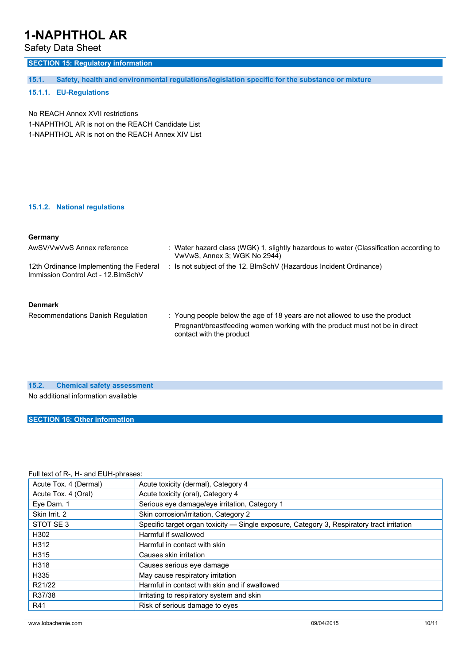Safety Data Sheet

## **SECTION 15: Regulatory information**

**15.1. Safety, health and environmental regulations/legislation specific for the substance or mixture**

### **15.1.1. EU-Regulations**

No REACH Annex XVII restrictions 1-NAPHTHOL AR is not on the REACH Candidate List 1-NAPHTHOL AR is not on the REACH Annex XIV List

#### **15.1.2. National regulations**

### **Germany**

| AwSV/VwVwS Annex reference                                                     | : Water hazard class (WGK) 1, slightly hazardous to water (Classification according to<br>VwVwS, Annex 3; WGK No 2944)                                     |  |
|--------------------------------------------------------------------------------|------------------------------------------------------------------------------------------------------------------------------------------------------------|--|
| 12th Ordinance Implementing the Federal<br>Immission Control Act - 12. BlmSchV | : Is not subject of the 12. BlmSchV (Hazardous Incident Ordinance)                                                                                         |  |
| <b>Denmark</b>                                                                 |                                                                                                                                                            |  |
| Recommendations Danish Regulation                                              | : Young people below the age of 18 years are not allowed to use the product<br>Pregnant/breastfeeding women working with the product must not be in direct |  |

contact with the product

### **15.2. Chemical safety assessment**

No additional information available

### **SECTION 16: Other information**

### Full text of R-, H- and EUH-phrases:

| Acute Tox. 4 (Dermal) | Acute toxicity (dermal), Category 4                                                        |
|-----------------------|--------------------------------------------------------------------------------------------|
| Acute Tox. 4 (Oral)   | Acute toxicity (oral), Category 4                                                          |
| Eye Dam. 1            | Serious eye damage/eye irritation, Category 1                                              |
| Skin Irrit, 2         | Skin corrosion/irritation, Category 2                                                      |
| STOT SE3              | Specific target organ toxicity — Single exposure, Category 3, Respiratory tract irritation |
| H302                  | Harmful if swallowed                                                                       |
| H312                  | Harmful in contact with skin                                                               |
| H315                  | Causes skin irritation                                                                     |
| H318                  | Causes serious eye damage                                                                  |
| H335                  | May cause respiratory irritation                                                           |
| R21/22                | Harmful in contact with skin and if swallowed                                              |
| R37/38                | Irritating to respiratory system and skin                                                  |
| R41                   | Risk of serious damage to eyes                                                             |
|                       |                                                                                            |